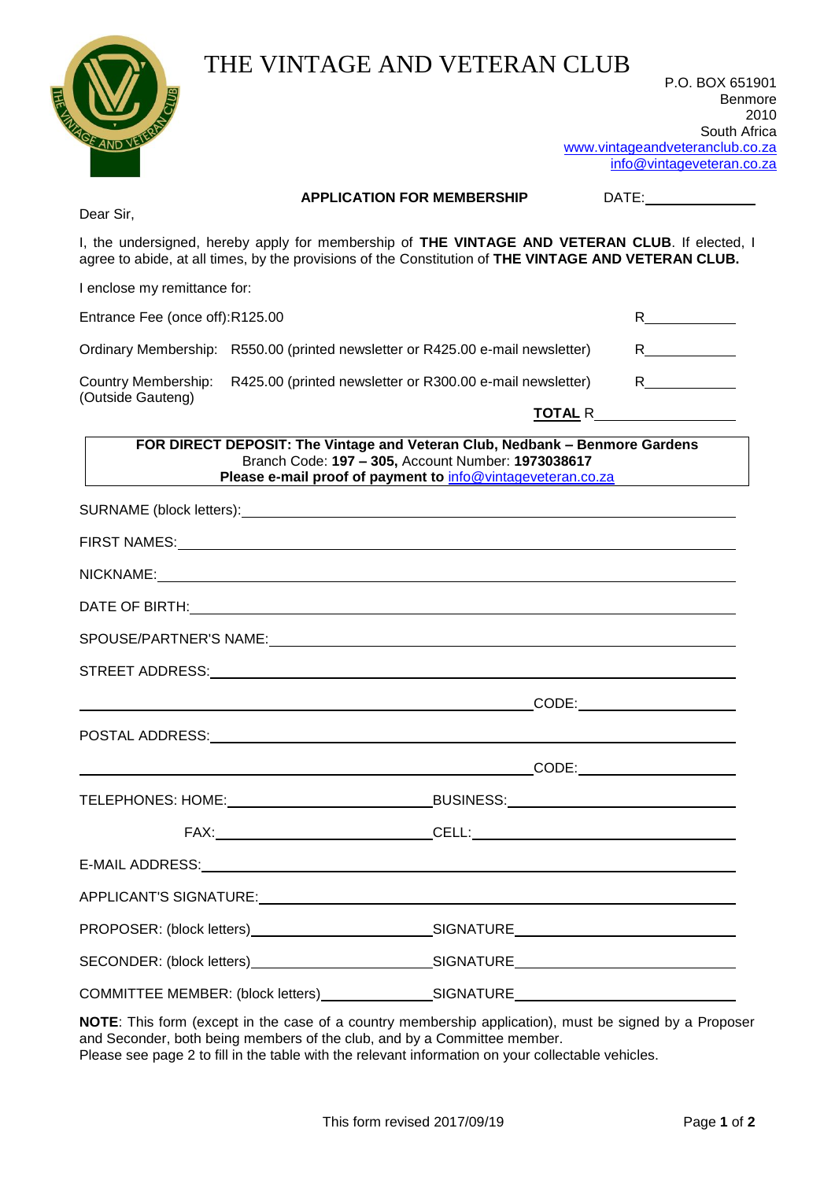| <b>JOE AND VEIE</b>             | THE VINTAGE AND VETERAN CLUB                                                                                                                                                                                                                                                                                                                        | P.O. BOX 651901<br>Benmore<br>2010<br>South Africa<br>www.vintageandveteranclub.co.za<br>info@vintageveteran.co.za                                                                                                                                                                                                                   |
|---------------------------------|-----------------------------------------------------------------------------------------------------------------------------------------------------------------------------------------------------------------------------------------------------------------------------------------------------------------------------------------------------|--------------------------------------------------------------------------------------------------------------------------------------------------------------------------------------------------------------------------------------------------------------------------------------------------------------------------------------|
| Dear Sir,                       | <b>APPLICATION FOR MEMBERSHIP</b>                                                                                                                                                                                                                                                                                                                   | DATE: the contract of the contract of the contract of the contract of the contract of the contract of the contract of the contract of the contract of the contract of the contract of the contract of the contract of the cont                                                                                                       |
|                                 | I, the undersigned, hereby apply for membership of THE VINTAGE AND VETERAN CLUB. If elected, I<br>agree to abide, at all times, by the provisions of the Constitution of THE VINTAGE AND VETERAN CLUB.                                                                                                                                              |                                                                                                                                                                                                                                                                                                                                      |
| I enclose my remittance for:    |                                                                                                                                                                                                                                                                                                                                                     |                                                                                                                                                                                                                                                                                                                                      |
| Entrance Fee (once off):R125.00 |                                                                                                                                                                                                                                                                                                                                                     | $R$ and $\sim$ $R$ and $\sim$ $R$ and $\sim$ $R$ and $\sim$ $R$ and $\sim$ $R$ and $\sim$ $R$ and $\sim$ $R$ and $\sim$ $R$ and $\sim$ $R$ and $\sim$ $R$ and $\sim$ $R$ and $\sim$ $R$ and $\sim$ $R$ and $\sim$ $R$ and $\sim$ $R$ and $\sim$ $R$ and $\sim$                                                                       |
|                                 | Ordinary Membership: R550.00 (printed newsletter or R425.00 e-mail newsletter)                                                                                                                                                                                                                                                                      | $R$ and $\overline{R}$ and $\overline{R}$ and $\overline{R}$ and $\overline{R}$ and $\overline{R}$ and $\overline{R}$ and $\overline{R}$ and $\overline{R}$ and $\overline{R}$ and $\overline{R}$ and $\overline{R}$ and $\overline{R}$ and $\overline{R}$ and $\overline{R}$ and $\overline{R}$ and $\overline{R}$ and $\overline{$ |
| <b>Country Membership:</b>      | R425.00 (printed newsletter or R300.00 e-mail newsletter)                                                                                                                                                                                                                                                                                           | $R \sim$                                                                                                                                                                                                                                                                                                                             |
| (Outside Gauteng)               |                                                                                                                                                                                                                                                                                                                                                     |                                                                                                                                                                                                                                                                                                                                      |
|                                 | Please e-mail proof of payment to info@vintageveteran.co.za                                                                                                                                                                                                                                                                                         |                                                                                                                                                                                                                                                                                                                                      |
|                                 |                                                                                                                                                                                                                                                                                                                                                     |                                                                                                                                                                                                                                                                                                                                      |
| SPOUSE/PARTNER'S NAME:          |                                                                                                                                                                                                                                                                                                                                                     |                                                                                                                                                                                                                                                                                                                                      |
|                                 |                                                                                                                                                                                                                                                                                                                                                     |                                                                                                                                                                                                                                                                                                                                      |
|                                 | $\begin{picture}(180,10) \put(0,0){\line(1,0){10}} \put(15,0){\line(1,0){10}} \put(15,0){\line(1,0){10}} \put(15,0){\line(1,0){10}} \put(15,0){\line(1,0){10}} \put(15,0){\line(1,0){10}} \put(15,0){\line(1,0){10}} \put(15,0){\line(1,0){10}} \put(15,0){\line(1,0){10}} \put(15,0){\line(1,0){10}} \put(15,0){\line(1,0){10}} \put(15,0){\line($ |                                                                                                                                                                                                                                                                                                                                      |
|                                 |                                                                                                                                                                                                                                                                                                                                                     |                                                                                                                                                                                                                                                                                                                                      |
|                                 | <u>CODE: CODE: CODE: CODE: CODE: CODE: CODE: CODE: CODE: CODE: CODE: CODE: CODE: CODE: CODE: CODE: CODE: CODE: CODE: CODE: CODE: CODE: CODE: CODE: CODE: CODE: CODE: CODE: CODE: CODE: CODE: CODE: CODE: CODE: CODE: CODE: CODE:</u>                                                                                                                |                                                                                                                                                                                                                                                                                                                                      |
|                                 |                                                                                                                                                                                                                                                                                                                                                     |                                                                                                                                                                                                                                                                                                                                      |
|                                 |                                                                                                                                                                                                                                                                                                                                                     |                                                                                                                                                                                                                                                                                                                                      |
|                                 |                                                                                                                                                                                                                                                                                                                                                     |                                                                                                                                                                                                                                                                                                                                      |
|                                 |                                                                                                                                                                                                                                                                                                                                                     |                                                                                                                                                                                                                                                                                                                                      |
|                                 |                                                                                                                                                                                                                                                                                                                                                     |                                                                                                                                                                                                                                                                                                                                      |
|                                 |                                                                                                                                                                                                                                                                                                                                                     |                                                                                                                                                                                                                                                                                                                                      |
|                                 | COMMITTEE MEMBER: (block letters)_________________SIGNATURE_____________________                                                                                                                                                                                                                                                                    |                                                                                                                                                                                                                                                                                                                                      |

**NOTE**: This form (except in the case of a country membership application), must be signed by a Proposer and Seconder, both being members of the club, and by a Committee member. Please see page 2 to fill in the table with the relevant information on your collectable vehicles.